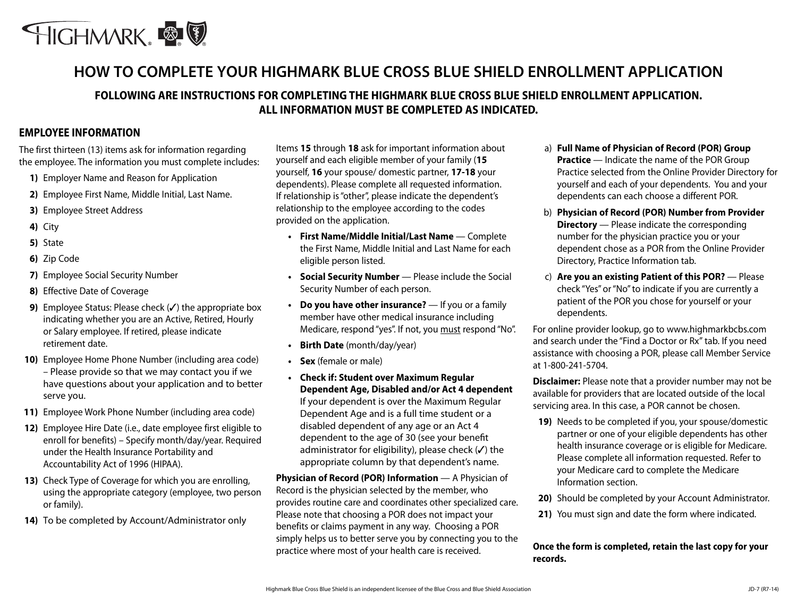

# **HOW TO COMPLETE YOUR HIGHMARK BLUE CROSS BLUE SHIELD ENROLLMENT APPLICATION**

# **FOLLOWING ARE INSTRUCTIONS FOR COMPLETING THE HIGHMARK BLUE CROSS BLUE SHIELD ENROLLMENT APPLICATION. ALL INFORMATION MUST BE COMPLETED AS INDICATED.**

## **EMPLOYEE INFORMATION**

The first thirteen (13) items ask for information regarding the employee. The information you must complete includes:

- **1)** Employer Name and Reason for Application
- **2)** Employee First Name, Middle Initial, Last Name.
- **3)** Employee Street Address
- **4)** City
- **5)** State
- **6)** Zip Code
- **7)** Employee Social Security Number
- **8)** Effective Date of Coverage
- **9)** Employee Status: Please check (✔) the appropriate box indicating whether you are an Active, Retired, Hourly or Salary employee. If retired, please indicate retirement date.
- **10)** Employee Home Phone Number (including area code) – Please provide so that we may contact you if we have questions about your application and to better serve you.
- **11)** Employee Work Phone Number (including area code)
- **12)** Employee Hire Date (i.e., date employee first eligible to enroll for benefits) – Specify month/day/year. Required under the Health Insurance Portability and Accountability Act of 1996 (HIPAA).
- **13)** Check Type of Coverage for which you are enrolling, using the appropriate category (employee, two person or family).
- **14)** To be completed by Account/Administrator only

Items **15** through **18** ask for important information about yourself and each eligible member of your family (**15** yourself, **16** your spouse/ domestic partner, **17-18** your dependents). Please complete all requested information. If relationship is "other", please indicate the dependent's relationship to the employee according to the codes provided on the application.

- **• First Name/Middle Initial/Last Name**  Complete the First Name, Middle Initial and Last Name for each eligible person listed.
- **• Social Security Number**  Please include the Social Security Number of each person.
- **• Do you have other insurance?**  If you or a family member have other medical insurance including Medicare, respond "yes". If not, you must respond "No".
- **• Birth Date** (month/day/year)
- **• Sex** (female or male)
- **• Check if: Student over Maximum Regular Dependent Age, Disabled and/or Act 4 dependent**  If your dependent is over the Maximum Regular Dependent Age and is a full time student or a disabled dependent of any age or an Act 4 dependent to the age of 30 (see your benefit administrator for eligibility), please check (✓) the appropriate column by that dependent's name.

**Physician of Record (POR) Information** — A Physician of Record is the physician selected by the member, who provides routine care and coordinates other specialized care. Please note that choosing a POR does not impact your benefits or claims payment in any way. Choosing a POR simply helps us to better serve you by connecting you to the practice where most of your health care is received.

- a) **Full Name of Physician of Record (POR) Group Practice** — Indicate the name of the POR Group Practice selected from the Online Provider Directory for yourself and each of your dependents. You and your dependents can each choose a different POR.
- b) **Physician of Record (POR) Number from Provider Directory** — Please indicate the corresponding number for the physician practice you or your dependent chose as a POR from the Online Provider Directory, Practice Information tab.
- c) **Are you an existing Patient of this POR?** Please check "Yes" or "No" to indicate if you are currently a patient of the POR you chose for yourself or your dependents.

For online provider lookup, go to www.highmarkbcbs.com and search under the "Find a Doctor or Rx" tab. If you need assistance with choosing a POR, please call Member Service at 1-800-241-5704.

**Disclaimer:** Please note that a provider number may not be available for providers that are located outside of the local servicing area. In this case, a POR cannot be chosen.

- **19)** Needs to be completed if you, your spouse/domestic partner or one of your eligible dependents has other health insurance coverage or is eligible for Medicare. Please complete all information requested. Refer to your Medicare card to complete the Medicare Information section.
- **20)** Should be completed by your Account Administrator.
- **21)** You must sign and date the form where indicated.

## **Once the form is completed, retain the last copy for your records.**